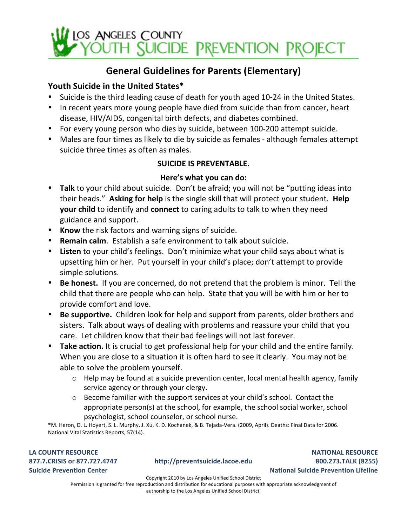

## General Guidelines for Parents (Elementary)

#### Youth Suicide in the United States\*

- Suicide is the third leading cause of death for youth aged 10-24 in the United States.
- In recent years more young people have died from suicide than from cancer, heart disease, HIV/AIDS, congenital birth defects, and diabetes combined.
- For every young person who dies by suicide, between 100-200 attempt suicide.
- Males are four times as likely to die by suicide as females although females attempt suicide three times as often as males.

#### **SUICIDE IS PREVENTABLE.**

#### Here's what you can do:

- Talk to your child about suicide. Don't be afraid; you will not be "putting ideas into their heads." Asking for help is the single skill that will protect your student. Help **your child** to identify and **connect** to caring adults to talk to when they need guidance and support.
- Know the risk factors and warning signs of suicide.
- **Remain calm**. Establish a safe environment to talk about suicide.
- Listen to your child's feelings. Don't minimize what your child says about what is upsetting him or her. Put yourself in your child's place; don't attempt to provide simple solutions.
- **Be honest.** If you are concerned, do not pretend that the problem is minor. Tell the child that there are people who can help. State that you will be with him or her to provide comfort and love.
- **Be supportive.** Children look for help and support from parents, older brothers and sisters. Talk about ways of dealing with problems and reassure your child that you care. Let children know that their bad feelings will not last forever.
- **Take action.** It is crucial to get professional help for your child and the entire family. When you are close to a situation it is often hard to see it clearly. You may not be able to solve the problem yourself.
	- $\circ$  Help may be found at a suicide prevention center, local mental health agency, family service agency or through your clergy.
	- $\circ$  Become familiar with the support services at your child's school. Contact the appropriate  $person(s)$  at the school, for example, the school social worker, school psychologist, school counselor, or school nurse.

\*M. Heron, D. L. Hoyert, S. L. Murphy, J. Xu, K. D. Kochanek, & B. Tejada-Vera. (2009, April). Deaths: Final Data for 2006. National Vital Statistics Reports, 57(14).

LA COUNTY RESOURCE **877.7.CRISIS'or'877.727.4747 Suicide Prevention Center** 

#### **http://preventsuicide.lacoe.edu**

**NATIONAL'RESOURCE 800.273.TALK'(8255) National Suicide Prevention Lifeline** 

Copyright 2010 by Los Angeles Unified School District Permission is granted for free reproduction and distribution for educational purposes with appropriate acknowledgment of authorship to the Los Angeles Unified School District.